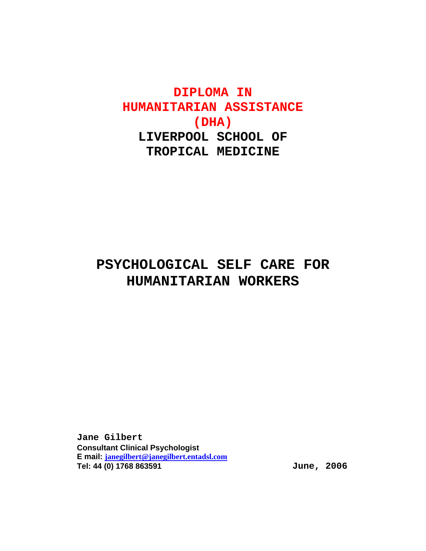# **DIPLOMA IN HUMANITARIAN ASSISTANCE (DHA) LIVERPOOL SCHOOL OF TROPICAL MEDICINE**

# **PSYCHOLOGICAL SELF CARE FOR HUMANITARIAN WORKERS**

**Jane Gilbert Consultant Clinical Psychologist E mail: janegilbert@janegilbert.entadsl.com Tel: 44 (0) 1768 863591 June, 2006**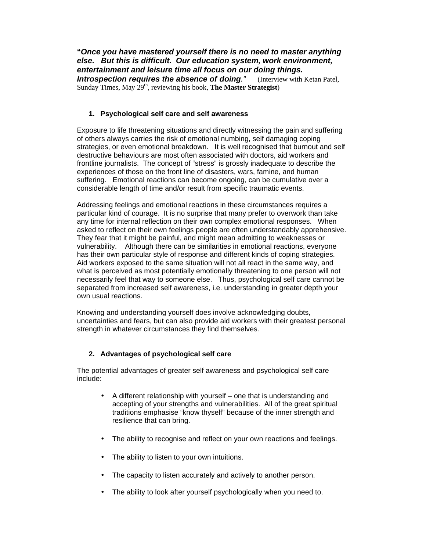**"Once you have mastered yourself there is no need to master anything else. But this is difficult. Our education system, work environment, entertainment and leisure time all focus on our doing things.** 

**Introspection requires the absence of doing."** (Interview with Ketan Patel, Sunday Times, May 29<sup>th</sup>, reviewing his book, **The Master Strategist**)

### **1. Psychological self care and self awareness**

Exposure to life threatening situations and directly witnessing the pain and suffering of others always carries the risk of emotional numbing, self damaging coping strategies, or even emotional breakdown. It is well recognised that burnout and self destructive behaviours are most often associated with doctors, aid workers and frontline journalists. The concept of "stress" is grossly inadequate to describe the experiences of those on the front line of disasters, wars, famine, and human suffering. Emotional reactions can become ongoing, can be cumulative over a considerable length of time and/or result from specific traumatic events.

Addressing feelings and emotional reactions in these circumstances requires a particular kind of courage. It is no surprise that many prefer to overwork than take any time for internal reflection on their own complex emotional responses. When asked to reflect on their own feelings people are often understandably apprehensive. They fear that it might be painful, and might mean admitting to weaknesses or vulnerability. Although there can be similarities in emotional reactions, everyone has their own particular style of response and different kinds of coping strategies. Aid workers exposed to the same situation will not all react in the same way, and what is perceived as most potentially emotionally threatening to one person will not necessarily feel that way to someone else. Thus, psychological self care cannot be separated from increased self awareness, i.e. understanding in greater depth your own usual reactions.

Knowing and understanding yourself does involve acknowledging doubts, uncertainties and fears, but can also provide aid workers with their greatest personal strength in whatever circumstances they find themselves.

### **2. Advantages of psychological self care**

The potential advantages of greater self awareness and psychological self care include:

- A different relationship with yourself one that is understanding and accepting of your strengths and vulnerabilities. All of the great spiritual traditions emphasise "know thyself" because of the inner strength and resilience that can bring.
- The ability to recognise and reflect on your own reactions and feelings.
- The ability to listen to your own intuitions.
- The capacity to listen accurately and actively to another person.
- The ability to look after yourself psychologically when you need to.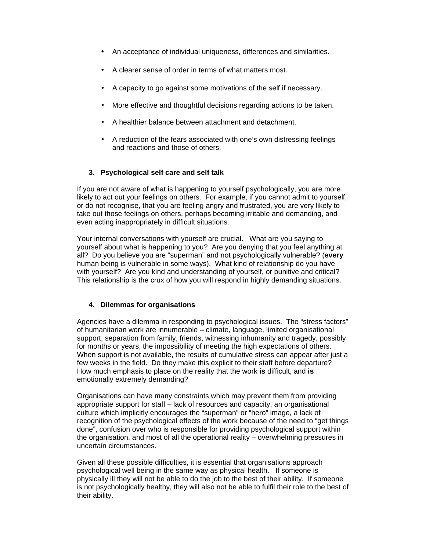- An acceptance of individual uniqueness, differences and similarities.
- A clearer sense of order in terms of what matters most.
- A capacity to go against some motivations of the self if necessary.
- More effective and thoughtful decisions regarding actions to be taken.
- A healthier balance between attachment and detachment.
- A reduction of the fears associated with one's own distressing feelings and reactions and those of others.

## **3. Psychological self care and self talk**

If you are not aware of what is happening to yourself psychologically, you are more likely to act out your feelings on others. For example, if you cannot admit to yourself, or do not recognise, that you are feeling angry and frustrated, you are very likely to take out those feelings on others, perhaps becoming irritable and demanding, and even acting inappropriately in difficult situations.

Your internal conversations with yourself are crucial. What are you saying to yourself about what is happening to you? Are you denying that you feel anything at all? Do you believe you are "superman" and not psychologically vulnerable? (**every** human being is vulnerable in some ways). What kind of relationship do you have with yourself? Are you kind and understanding of yourself, or punitive and critical? This relationship is the crux of how you will respond in highly demanding situations.

### **4. Dilemmas for organisations**

Agencies have a dilemma in responding to psychological issues. The "stress factors" of humanitarian work are innumerable – climate, language, limited organisational support, separation from family, friends, witnessing inhumanity and tragedy, possibly for months or years, the impossibility of meeting the high expectations of others. When support is not available, the results of cumulative stress can appear after just a few weeks in the field. Do they make this explicit to their staff before departure? How much emphasis to place on the reality that the work **is** difficult, and **is**  emotionally extremely demanding?

Organisations can have many constraints which may prevent them from providing appropriate support for staff – lack of resources and capacity, an organisational culture which implicitly encourages the "superman" or "hero" image, a lack of recognition of the psychological effects of the work because of the need to "get things done", confusion over who is responsible for providing psychological support within the organisation, and most of all the operational reality – overwhelming pressures in uncertain circumstances.

Given all these possible difficulties, it is essential that organisations approach psychological well being in the same way as physical health. If someone is physically ill they will not be able to do the job to the best of their ability. If someone is not psychologically healthy, they will also not be able to fulfil their role to the best of their ability.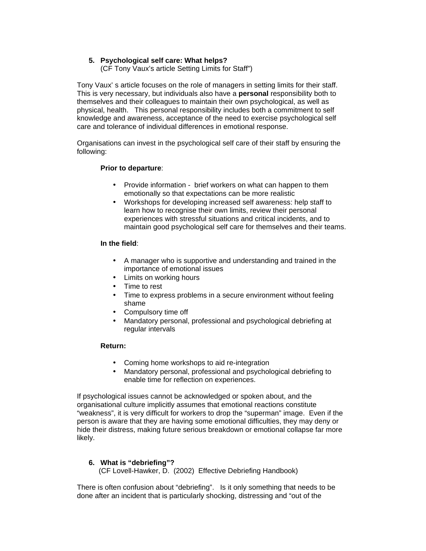### **5. Psychological self care: What helps?**

(CF Tony Vaux's article Setting Limits for Staff")

Tony Vaux' s article focuses on the role of managers in setting limits for their staff. This is very necessary, but individuals also have a **personal** responsibility both to themselves and their colleagues to maintain their own psychological, as well as physical, health. This personal responsibility includes both a commitment to self knowledge and awareness, acceptance of the need to exercise psychological self care and tolerance of individual differences in emotional response.

Organisations can invest in the psychological self care of their staff by ensuring the following:

### **Prior to departure**:

- Provide information brief workers on what can happen to them emotionally so that expectations can be more realistic
- Workshops for developing increased self awareness: help staff to learn how to recognise their own limits, review their personal experiences with stressful situations and critical incidents, and to maintain good psychological self care for themselves and their teams.

#### **In the field**:

- A manager who is supportive and understanding and trained in the importance of emotional issues
- Limits on working hours
- Time to rest
- Time to express problems in a secure environment without feeling shame
- Compulsory time off
- Mandatory personal, professional and psychological debriefing at regular intervals

### **Return:**

- Coming home workshops to aid re-integration
- Mandatory personal, professional and psychological debriefing to enable time for reflection on experiences.

If psychological issues cannot be acknowledged or spoken about, and the organisational culture implicitly assumes that emotional reactions constitute "weakness", it is very difficult for workers to drop the "superman" image. Even if the person is aware that they are having some emotional difficulties, they may deny or hide their distress, making future serious breakdown or emotional collapse far more likely.

### **6. What is "debriefing"?**

(CF Lovell-Hawker, D. (2002) Effective Debriefing Handbook)

There is often confusion about "debriefing". Is it only something that needs to be done after an incident that is particularly shocking, distressing and "out of the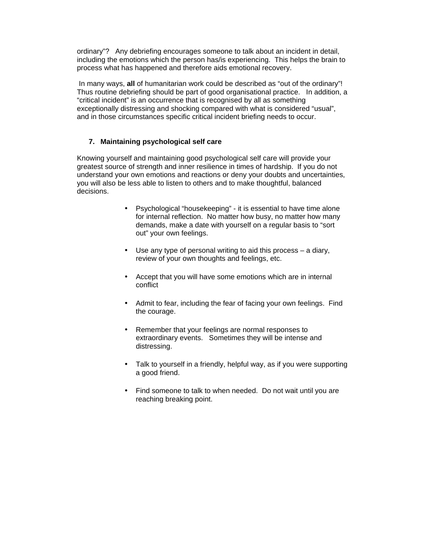ordinary"? Any debriefing encourages someone to talk about an incident in detail, including the emotions which the person has/is experiencing. This helps the brain to process what has happened and therefore aids emotional recovery.

 In many ways, **all** of humanitarian work could be described as "out of the ordinary"! Thus routine debriefing should be part of good organisational practice. In addition, a "critical incident" is an occurrence that is recognised by all as something exceptionally distressing and shocking compared with what is considered "usual", and in those circumstances specific critical incident briefing needs to occur.

### **7. Maintaining psychological self care**

Knowing yourself and maintaining good psychological self care will provide your greatest source of strength and inner resilience in times of hardship. If you do not understand your own emotions and reactions or deny your doubts and uncertainties, you will also be less able to listen to others and to make thoughtful, balanced decisions.

- Psychological "housekeeping" it is essential to have time alone for internal reflection. No matter how busy, no matter how many demands, make a date with yourself on a regular basis to "sort out" your own feelings.
- Use any type of personal writing to aid this process a diary, review of your own thoughts and feelings, etc.
- Accept that you will have some emotions which are in internal conflict
- Admit to fear, including the fear of facing your own feelings. Find the courage.
- Remember that your feelings are normal responses to extraordinary events. Sometimes they will be intense and distressing.
- Talk to yourself in a friendly, helpful way, as if you were supporting a good friend.
- Find someone to talk to when needed. Do not wait until you are reaching breaking point.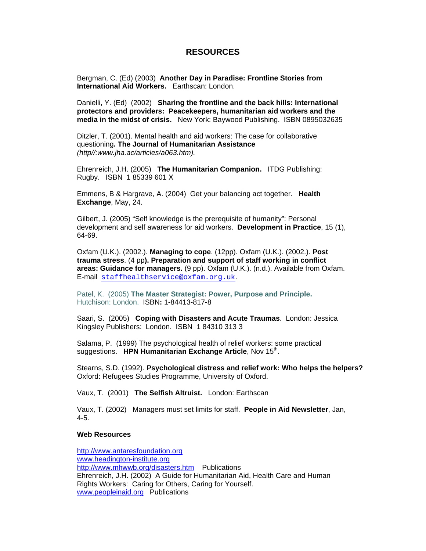## **RESOURCES**

Bergman, C. (Ed) (2003) **Another Day in Paradise: Frontline Stories from International Aid Workers.** Earthscan: London.

Danielli, Y. (Ed) (2002) **Sharing the frontline and the back hills: International protectors and providers: Peacekeepers, humanitarian aid workers and the media in the midst of crisis.** New York: Baywood Publishing. ISBN 0895032635

Ditzler, T. (2001). Mental health and aid workers: The case for collaborative questioning**. The Journal of Humanitarian Assistance** (http//:www.jha.ac/articles/a063.htm).

Ehrenreich, J.H. (2005) **The Humanitarian Companion.** ITDG Publishing: Rugby. ISBN 1 85339 601 X

Emmens, B & Hargrave, A. (2004) Get your balancing act together. **Health Exchange**, May, 24.

Gilbert, J. (2005) "Self knowledge is the prerequisite of humanity": Personal development and self awareness for aid workers. **Development in Practice**, 15 (1), 64-69.

Oxfam (U.K.). (2002.). **Managing to cope**. (12pp). Oxfam (U.K.). (2002.). **Post trauma stress**. (4 pp**). Preparation and support of staff working in conflict areas: Guidance for managers.** (9 pp). Oxfam (U.K.). (n.d.). Available from Oxfam. E-mail staffhealthservice@oxfam.org.uk.

Patel, K. (2005) **The Master Strategist: Power, Purpose and Principle.** Hutchison: London. ISBN**:** 1-84413-817-8

Saari, S. (2005) **Coping with Disasters and Acute Traumas**. London: Jessica Kingsley Publishers: London. ISBN 1 84310 313 3

Salama, P. (1999) The psychological health of relief workers: some practical suggestions. HPN Humanitarian Exchange Article, Nov 15<sup>th</sup>.

Stearns, S.D. (1992). **Psychological distress and relief work: Who helps the helpers?** Oxford: Refugees Studies Programme, University of Oxford.

Vaux, T. (2001) **The Selfish Altruist.** London: Earthscan

Vaux, T. (2002) Managers must set limits for staff. **People in Aid Newsletter**, Jan, 4-5.

#### **Web Resources**

http://www.antaresfoundation.org www.headington-institute.org http://www.mhwwb.org/disasters.htm Publications Ehrenreich, J.H. (2002) A Guide for Humanitarian Aid, Health Care and Human Rights Workers: Caring for Others, Caring for Yourself. www.peopleinaid.org Publications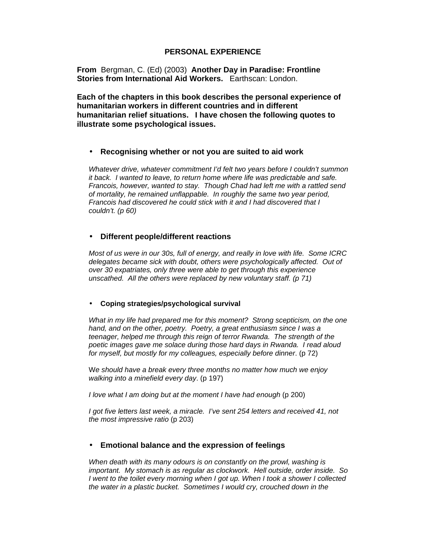## **PERSONAL EXPERIENCE**

**From** Bergman, C. (Ed) (2003) **Another Day in Paradise: Frontline Stories from International Aid Workers.** Earthscan: London.

**Each of the chapters in this book describes the personal experience of humanitarian workers in different countries and in different humanitarian relief situations. I have chosen the following quotes to illustrate some psychological issues.** 

### • **Recognising whether or not you are suited to aid work**

Whatever drive, whatever commitment I'd felt two years before I couldn't summon it back. I wanted to leave, to return home where life was predictable and safe. Francois, however, wanted to stay. Though Chad had left me with a rattled send of mortality, he remained unflappable. In roughly the same two year period, Francois had discovered he could stick with it and I had discovered that I couldn't. (p 60)

### • **Different people/different reactions**

Most of us were in our 30s, full of energy, and really in love with life. Some ICRC delegates became sick with doubt, others were psychologically affected. Out of over 30 expatriates, only three were able to get through this experience unscathed. All the others were replaced by new voluntary staff. (p 71)

#### • **Coping strategies/psychological survival**

What in my life had prepared me for this moment? Strong scepticism, on the one hand, and on the other, poetry. Poetry, a great enthusiasm since I was a teenager, helped me through this reign of terror Rwanda. The strength of the poetic images gave me solace during those hard days in Rwanda. I read aloud for myself, but mostly for my colleagues, especially before dinner. (p 72)

We should have a break every three months no matter how much we enjoy walking into a minefield every day. (p 197)

I love what I am doing but at the moment I have had enough (p 200)

I got five letters last week, a miracle. I've sent 254 letters and received 41, not the most impressive ratio (p 203)

### • **Emotional balance and the expression of feelings**

When death with its many odours is on constantly on the prowl, washing is important. My stomach is as regular as clockwork. Hell outside, order inside. So I went to the toilet every morning when I got up. When I took a shower I collected the water in a plastic bucket. Sometimes I would cry, crouched down in the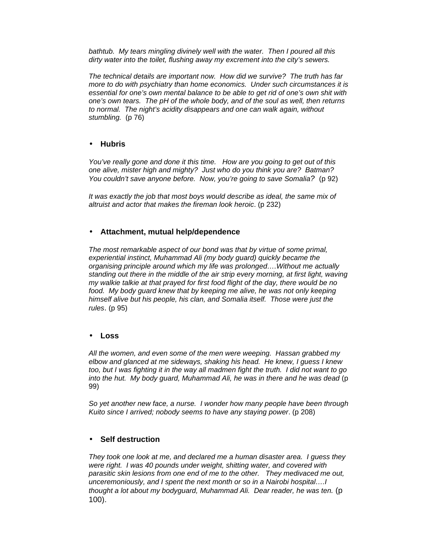bathtub. My tears mingling divinely well with the water. Then I poured all this dirty water into the toilet, flushing away my excrement into the city's sewers.

The technical details are important now. How did we survive? The truth has far more to do with psychiatry than home economics. Under such circumstances it is essential for one's own mental balance to be able to get rid of one's own shit with one's own tears. The pH of the whole body, and of the soul as well, then returns to normal. The night's acidity disappears and one can walk again, without stumbling. (p 76)

## • **Hubris**

You've really gone and done it this time. How are you going to get out of this one alive, mister high and mighty? Just who do you think you are? Batman? You couldn't save anyone before. Now, you're going to save Somalia? (p 92)

It was exactly the job that most boys would describe as ideal, the same mix of altruist and actor that makes the fireman look heroic. (p 232)

## • **Attachment, mutual help/dependence**

The most remarkable aspect of our bond was that by virtue of some primal, experiential instinct, Muhammad Ali (my body guard) quickly became the organising principle around which my life was prolonged….Without me actually standing out there in the middle of the air strip every morning, at first light, waving my walkie talkie at that prayed for first food flight of the day, there would be no food. My body guard knew that by keeping me alive, he was not only keeping himself alive but his people, his clan, and Somalia itself. Those were just the rules. (p 95)

### • **Loss**

All the women, and even some of the men were weeping. Hassan grabbed my elbow and glanced at me sideways, shaking his head. He knew, I guess I knew too, but I was fighting it in the way all madmen fight the truth. I did not want to go into the hut. My body guard, Muhammad Ali, he was in there and he was dead (p 99)

So yet another new face, a nurse. I wonder how many people have been through Kuito since I arrived; nobody seems to have any staying power. (p 208)

### • **Self destruction**

They took one look at me, and declared me a human disaster area. I guess they were right. I was 40 pounds under weight, shitting water, and covered with parasitic skin lesions from one end of me to the other. They medivaced me out, unceremoniously, and I spent the next month or so in a Nairobi hospital….I thought a lot about my bodyguard, Muhammad Ali. Dear reader, he was ten. (p 100).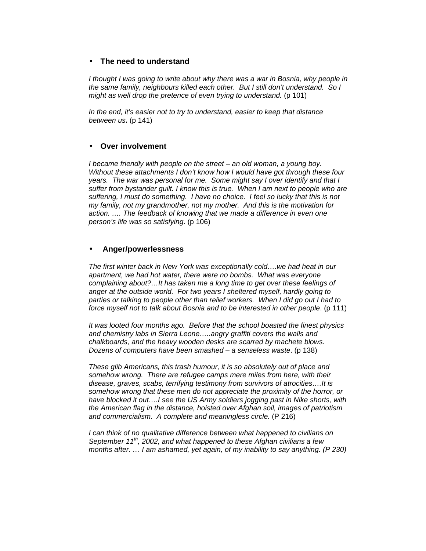### • **The need to understand**

I thought I was going to write about why there was a war in Bosnia, why people in the same family, neighbours killed each other. But I still don't understand. So I might as well drop the pretence of even trying to understand. (p 101)

In the end, it's easier not to try to understand, easier to keep that distance between us**.** (p 141)

### • **Over involvement**

I became friendly with people on the street – an old woman, a young boy. Without these attachments I don't know how I would have got through these four years. The war was personal for me. Some might say I over identify and that I suffer from bystander guilt. I know this is true. When I am next to people who are suffering, I must do something. I have no choice. I feel so lucky that this is not my family, not my grandmother, not my mother. And this is the motivation for action. …. The feedback of knowing that we made a difference in even one person's life was so satisfying. (p 106)

#### • **Anger/powerlessness**

The first winter back in New York was exceptionally cold….we had heat in our apartment, we had hot water, there were no bombs. What was everyone complaining about?…It has taken me a long time to get over these feelings of anger at the outside world. For two years I sheltered myself, hardly going to parties or talking to people other than relief workers. When I did go out I had to force myself not to talk about Bosnia and to be interested in other people. (p 111)

It was looted four months ago. Before that the school boasted the finest physics and chemistry labs in Sierra Leone…..angry graffiti covers the walls and chalkboards, and the heavy wooden desks are scarred by machete blows. Dozens of computers have been smashed – a senseless waste. (p 138)

These glib Americans, this trash humour, it is so absolutely out of place and somehow wrong. There are refugee camps mere miles from here, with their disease, graves, scabs, terrifying testimony from survivors of atrocities….It is somehow wrong that these men do not appreciate the proximity of the horror, or have blocked it out….I see the US Army soldiers jogging past in Nike shorts, with the American flag in the distance, hoisted over Afghan soil, images of patriotism and commercialism. A complete and meaningless circle. (P 216)

I can think of no qualitative difference between what happened to civilians on September 11<sup>th</sup>, 2002, and what happened to these Afghan civilians a few months after. … I am ashamed, yet again, of my inability to say anything. (P 230)